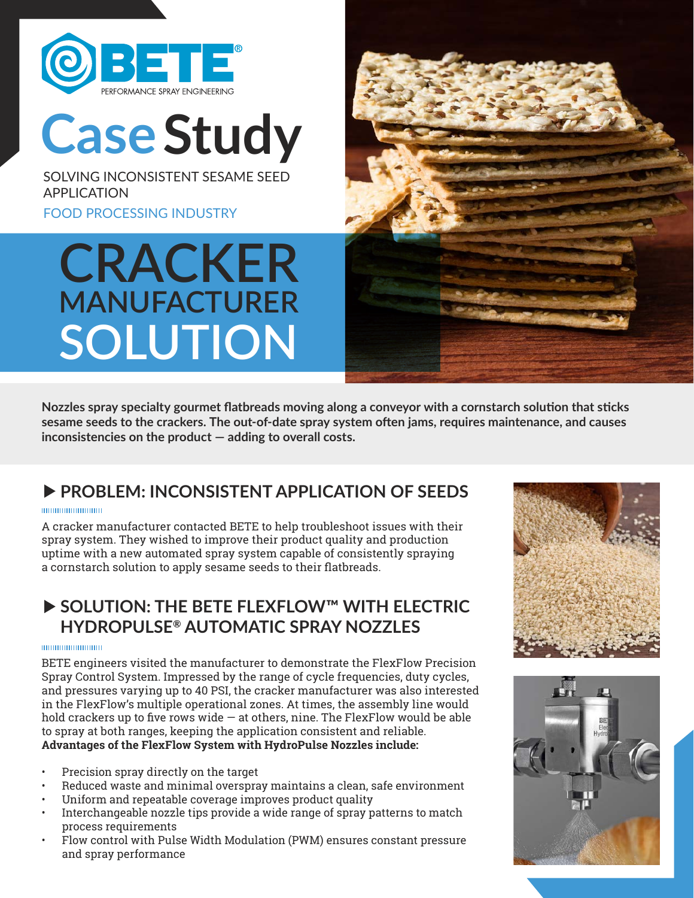

**CaseStudy**

SOLVING INCONSISTENT SESAME SEED APPLICATION

FOOD PROCESSING INDUSTRY

## **CRACKER MANUFACTURER SOLUTION**



**Nozzles spray specialty gourmet flatbreads moving along a conveyor with a cornstarch solution that sticks sesame seeds to the crackers. The out-of-date spray system often jams, requires maintenance, and causes inconsistencies on the product — adding to overall costs.**

## **PROBLEM: INCONSISTENT APPLICATION OF SEEDS**

#### munimumumum

A cracker manufacturer contacted BETE to help troubleshoot issues with their spray system. They wished to improve their product quality and production uptime with a new automated spray system capable of consistently spraying a cornstarch solution to apply sesame seeds to their flatbreads.

## **SOLUTION: THE BETE FLEXFLOW™ WITH ELECTRIC HYDROPULSE® AUTOMATIC SPRAY NOZZLES**

#### 000000000000000

BETE engineers visited the manufacturer to demonstrate the FlexFlow Precision Spray Control System. Impressed by the range of cycle frequencies, duty cycles, and pressures varying up to 40 PSI, the cracker manufacturer was also interested in the FlexFlow's multiple operational zones. At times, the assembly line would hold crackers up to five rows wide  $-$  at others, nine. The FlexFlow would be able to spray at both ranges, keeping the application consistent and reliable. **Advantages of the FlexFlow System with HydroPulse Nozzles include:**

- Precision spray directly on the target
- Reduced waste and minimal overspray maintains a clean, safe environment
- Uniform and repeatable coverage improves product quality
- Interchangeable nozzle tips provide a wide range of spray patterns to match process requirements
- Flow control with Pulse Width Modulation (PWM) ensures constant pressure and spray performance